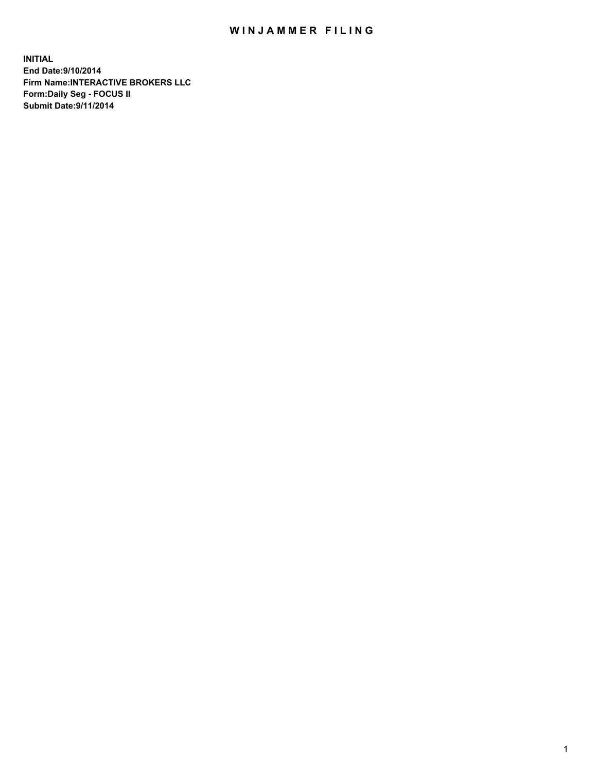## WIN JAMMER FILING

**INITIAL End Date:9/10/2014 Firm Name:INTERACTIVE BROKERS LLC Form:Daily Seg - FOCUS II Submit Date:9/11/2014**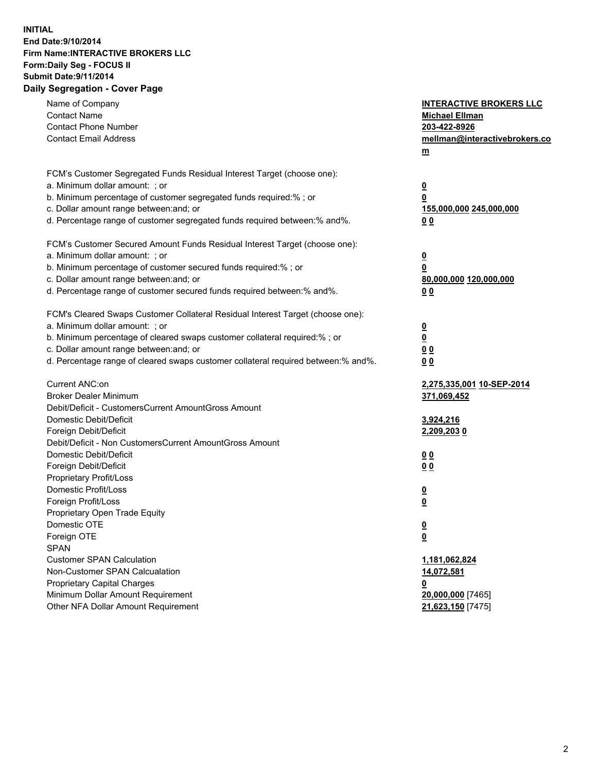## **INITIAL End Date:9/10/2014 Firm Name:INTERACTIVE BROKERS LLC Form:Daily Seg - FOCUS II Submit Date:9/11/2014 Daily Segregation - Cover Page**

| Name of Company                                                                                                  | <b>INTERACTIVE BROKERS LLC</b> |
|------------------------------------------------------------------------------------------------------------------|--------------------------------|
| <b>Contact Name</b>                                                                                              | <b>Michael Ellman</b>          |
| <b>Contact Phone Number</b>                                                                                      | 203-422-8926                   |
| <b>Contact Email Address</b>                                                                                     | mellman@interactivebrokers.co  |
|                                                                                                                  | $\underline{\mathbf{m}}$       |
| FCM's Customer Segregated Funds Residual Interest Target (choose one):                                           |                                |
| a. Minimum dollar amount: ; or                                                                                   | $\overline{\mathbf{0}}$        |
| b. Minimum percentage of customer segregated funds required:% ; or                                               | 0                              |
| c. Dollar amount range between: and; or                                                                          | 155,000,000 245,000,000        |
| d. Percentage range of customer segregated funds required between:% and%.                                        | 00                             |
| FCM's Customer Secured Amount Funds Residual Interest Target (choose one):                                       |                                |
| a. Minimum dollar amount: ; or                                                                                   | $\overline{\mathbf{0}}$        |
| b. Minimum percentage of customer secured funds required:% ; or                                                  | 0                              |
| c. Dollar amount range between: and; or                                                                          | 80,000,000 120,000,000         |
| d. Percentage range of customer secured funds required between:% and%.                                           | 00                             |
|                                                                                                                  |                                |
| FCM's Cleared Swaps Customer Collateral Residual Interest Target (choose one):<br>a. Minimum dollar amount: ; or |                                |
|                                                                                                                  | $\overline{\mathbf{0}}$        |
| b. Minimum percentage of cleared swaps customer collateral required:% ; or                                       | $\overline{\mathbf{0}}$        |
| c. Dollar amount range between: and; or                                                                          | 0 <sub>0</sub>                 |
| d. Percentage range of cleared swaps customer collateral required between:% and%.                                | 0 <sub>0</sub>                 |
| Current ANC:on                                                                                                   | 2,275,335,001 10-SEP-2014      |
| <b>Broker Dealer Minimum</b>                                                                                     | 371,069,452                    |
| Debit/Deficit - CustomersCurrent AmountGross Amount                                                              |                                |
| Domestic Debit/Deficit                                                                                           | 3,924,216                      |
| Foreign Debit/Deficit                                                                                            | 2,209,2030                     |
| Debit/Deficit - Non CustomersCurrent AmountGross Amount                                                          |                                |
| Domestic Debit/Deficit                                                                                           | 0 <sub>0</sub>                 |
| Foreign Debit/Deficit                                                                                            | 0 <sub>0</sub>                 |
| Proprietary Profit/Loss                                                                                          |                                |
| Domestic Profit/Loss                                                                                             | $\overline{\mathbf{0}}$        |
| Foreign Profit/Loss                                                                                              | $\underline{\mathbf{0}}$       |
| Proprietary Open Trade Equity                                                                                    |                                |
| Domestic OTE                                                                                                     | <u>0</u>                       |
| Foreign OTE                                                                                                      | <u>0</u>                       |
| <b>SPAN</b>                                                                                                      |                                |
| <b>Customer SPAN Calculation</b>                                                                                 | 1,181,062,824                  |
| Non-Customer SPAN Calcualation                                                                                   | 14,072,581                     |
| Proprietary Capital Charges                                                                                      | 0                              |
| Minimum Dollar Amount Requirement                                                                                | 20,000,000 [7465]              |
| Other NFA Dollar Amount Requirement                                                                              | 21,623,150 [7475]              |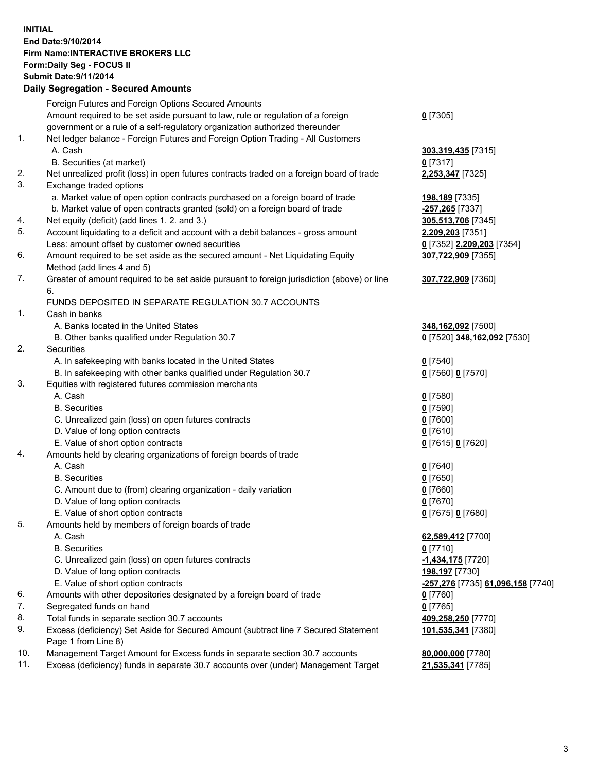## **INITIAL End Date:9/10/2014 Firm Name:INTERACTIVE BROKERS LLC Form:Daily Seg - FOCUS II Submit Date:9/11/2014 Daily Segregation - Secured Amounts**

|     | Dany Ocgregation - Oceanea Annoanta                                                         |                                                 |
|-----|---------------------------------------------------------------------------------------------|-------------------------------------------------|
|     | Foreign Futures and Foreign Options Secured Amounts                                         |                                                 |
|     | Amount required to be set aside pursuant to law, rule or regulation of a foreign            | $0$ [7305]                                      |
|     | government or a rule of a self-regulatory organization authorized thereunder                |                                                 |
| 1.  | Net ledger balance - Foreign Futures and Foreign Option Trading - All Customers             |                                                 |
|     | A. Cash                                                                                     | <mark>303,319,435</mark> [7315]                 |
|     | B. Securities (at market)                                                                   | $0$ [7317]                                      |
| 2.  | Net unrealized profit (loss) in open futures contracts traded on a foreign board of trade   | 2,253,347 [7325]                                |
| 3.  | Exchange traded options                                                                     |                                                 |
|     | a. Market value of open option contracts purchased on a foreign board of trade              | 198,189 [7335]                                  |
|     | b. Market value of open contracts granted (sold) on a foreign board of trade                | <mark>-257,265</mark> [7337]                    |
| 4.  | Net equity (deficit) (add lines 1.2. and 3.)                                                | 305,513,706 [7345]                              |
| 5.  | Account liquidating to a deficit and account with a debit balances - gross amount           | 2,209,203 [7351]                                |
|     | Less: amount offset by customer owned securities                                            | 0 [7352] 2,209,203 [7354]                       |
| 6.  | Amount required to be set aside as the secured amount - Net Liquidating Equity              | 307,722,909 [7355]                              |
|     | Method (add lines 4 and 5)                                                                  |                                                 |
| 7.  | Greater of amount required to be set aside pursuant to foreign jurisdiction (above) or line | 307,722,909 [7360]                              |
|     | 6.                                                                                          |                                                 |
|     | FUNDS DEPOSITED IN SEPARATE REGULATION 30.7 ACCOUNTS                                        |                                                 |
| 1.  | Cash in banks                                                                               |                                                 |
|     | A. Banks located in the United States                                                       | 348,162,092 [7500]                              |
|     | B. Other banks qualified under Regulation 30.7                                              | 0 [7520] 348,162,092 [7530]                     |
| 2.  | Securities                                                                                  |                                                 |
|     | A. In safekeeping with banks located in the United States                                   | $0$ [7540]                                      |
|     | B. In safekeeping with other banks qualified under Regulation 30.7                          | 0 [7560] 0 [7570]                               |
| 3.  | Equities with registered futures commission merchants                                       |                                                 |
|     | A. Cash                                                                                     | $0$ [7580]                                      |
|     | <b>B.</b> Securities                                                                        | $0$ [7590]                                      |
|     | C. Unrealized gain (loss) on open futures contracts                                         | $0$ [7600]                                      |
|     | D. Value of long option contracts                                                           | $0$ [7610]                                      |
|     | E. Value of short option contracts                                                          | 0 [7615] 0 [7620]                               |
| 4.  | Amounts held by clearing organizations of foreign boards of trade                           |                                                 |
|     | A. Cash                                                                                     | $0$ [7640]                                      |
|     | <b>B.</b> Securities                                                                        | $0$ [7650]                                      |
|     | C. Amount due to (from) clearing organization - daily variation                             | $0$ [7660]                                      |
|     | D. Value of long option contracts                                                           | $0$ [7670]                                      |
|     | E. Value of short option contracts                                                          | 0 [7675] 0 [7680]                               |
| 5.  | Amounts held by members of foreign boards of trade                                          |                                                 |
|     | A. Cash                                                                                     | 62,589,412 [7700]                               |
|     | <b>B.</b> Securities                                                                        | $0$ [7710]                                      |
|     | C. Unrealized gain (loss) on open futures contracts                                         | -1,434,175 [7720]                               |
|     | D. Value of long option contracts                                                           | 198,197 [7730]                                  |
|     | E. Value of short option contracts                                                          | <u>-257,276</u> [7735] <u>61,096,158</u> [7740] |
| 6.  | Amounts with other depositories designated by a foreign board of trade                      | 0 [7760]                                        |
| 7.  | Segregated funds on hand                                                                    | $0$ [7765]                                      |
| 8.  | Total funds in separate section 30.7 accounts                                               | 409,258,250 [7770]                              |
| 9.  | Excess (deficiency) Set Aside for Secured Amount (subtract line 7 Secured Statement         | 101,535,341 [7380]                              |
|     | Page 1 from Line 8)                                                                         |                                                 |
| 10. | Management Target Amount for Excess funds in separate section 30.7 accounts                 | 80,000,000 [7780]                               |
| 11. | Excess (deficiency) funds in separate 30.7 accounts over (under) Management Target          | 21,535,341 [7785]                               |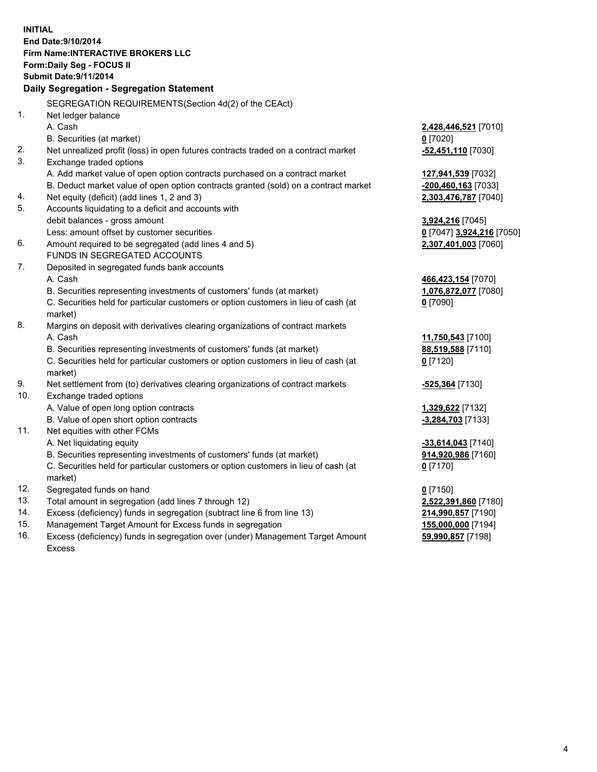**INITIAL End Date:9/10/2014 Firm Name:INTERACTIVE BROKERS LLC Form:Daily Seg - FOCUS II Submit Date:9/11/2014 Daily Segregation - Segregation Statement** SEGREGATION REQUIREMENTS(Section 4d(2) of the CEAct) 1. Net ledger balance A. Cash **2,428,446,521** [7010] B. Securities (at market) **0** [7020] 2. Net unrealized profit (loss) in open futures contracts traded on a contract market **-52,451,110** [7030] 3. Exchange traded options A. Add market value of open option contracts purchased on a contract market **127,941,539** [7032] B. Deduct market value of open option contracts granted (sold) on a contract market **-200,460,163** [7033] 4. Net equity (deficit) (add lines 1, 2 and 3) **2,303,476,787** [7040] 5. Accounts liquidating to a deficit and accounts with debit balances - gross amount **3,924,216** [7045] Less: amount offset by customer securities **0** [7047] **3,924,216** [7050] 6. Amount required to be segregated (add lines 4 and 5) **2,307,401,003** [7060] FUNDS IN SEGREGATED ACCOUNTS 7. Deposited in segregated funds bank accounts A. Cash **466,423,154** [7070] B. Securities representing investments of customers' funds (at market) **1,076,872,077** [7080] C. Securities held for particular customers or option customers in lieu of cash (at market) **0** [7090] 8. Margins on deposit with derivatives clearing organizations of contract markets A. Cash **11,750,543** [7100] B. Securities representing investments of customers' funds (at market) **88,519,588** [7110] C. Securities held for particular customers or option customers in lieu of cash (at market) **0** [7120] 9. Net settlement from (to) derivatives clearing organizations of contract markets **-525,364** [7130] 10. Exchange traded options A. Value of open long option contracts **1,329,622** [7132] B. Value of open short option contracts **-3,284,703** [7133] 11. Net equities with other FCMs A. Net liquidating equity **-33,614,043** [7140] B. Securities representing investments of customers' funds (at market) **914,920,986** [7160] C. Securities held for particular customers or option customers in lieu of cash (at market) **0** [7170] 12. Segregated funds on hand **0** [7150] 13. Total amount in segregation (add lines 7 through 12) **2,522,391,860** [7180] 14. Excess (deficiency) funds in segregation (subtract line 6 from line 13) **214,990,857** [7190] 15. Management Target Amount for Excess funds in segregation **155,000,000** [7194]

16. Excess (deficiency) funds in segregation over (under) Management Target Amount Excess

**59,990,857** [7198]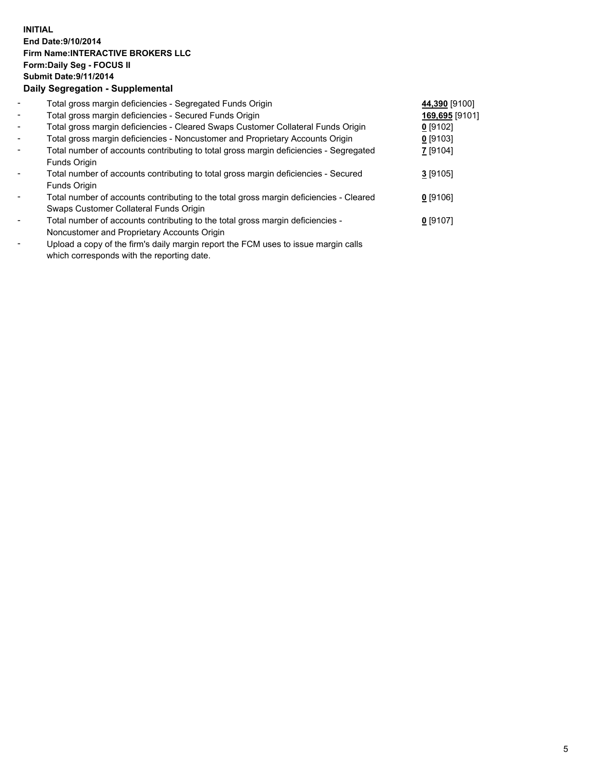## **INITIAL End Date:9/10/2014 Firm Name:INTERACTIVE BROKERS LLC Form:Daily Seg - FOCUS II Submit Date:9/11/2014 Daily Segregation - Supplemental**

| $\blacksquare$ | Total gross margin deficiencies - Segregated Funds Origin                              | 44,390 [9100]  |  |
|----------------|----------------------------------------------------------------------------------------|----------------|--|
| $\sim$         | Total gross margin deficiencies - Secured Funds Origin                                 | 169,695 [9101] |  |
| $\blacksquare$ | Total gross margin deficiencies - Cleared Swaps Customer Collateral Funds Origin       | $0$ [9102]     |  |
| $\sim$         | Total gross margin deficiencies - Noncustomer and Proprietary Accounts Origin          | $0$ [9103]     |  |
| $\sim$         | Total number of accounts contributing to total gross margin deficiencies - Segregated  | 7 [9104]       |  |
|                | Funds Origin                                                                           |                |  |
|                | Total number of accounts contributing to total gross margin deficiencies - Secured     | $3$ [9105]     |  |
|                | Funds Origin                                                                           |                |  |
|                | Total number of accounts contributing to the total gross margin deficiencies - Cleared | $0$ [9106]     |  |
|                | Swaps Customer Collateral Funds Origin                                                 |                |  |
|                | Total number of accounts contributing to the total gross margin deficiencies -         | $0$ [9107]     |  |
|                | Noncustomer and Proprietary Accounts Origin                                            |                |  |
|                |                                                                                        |                |  |

- Upload a copy of the firm's daily margin report the FCM uses to issue margin calls which corresponds with the reporting date.